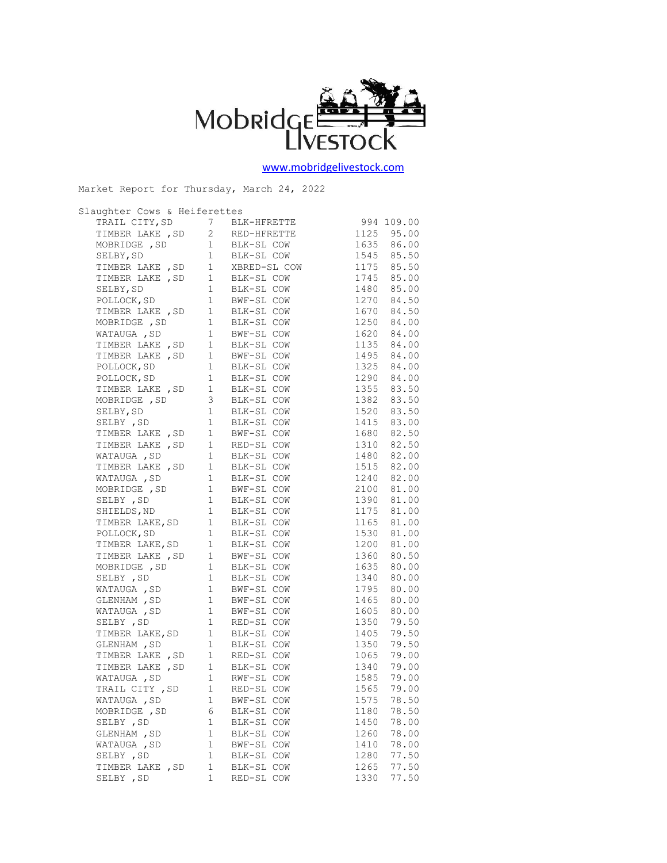

[www.mobridgelivestock.com](http://www.mobridgelivestock.com/)

Market Report for Thursday, March 24, 2022

| Slaughter Cows & Heiferettes |   |                                                                                                                                                                                                                                          |               |
|------------------------------|---|------------------------------------------------------------------------------------------------------------------------------------------------------------------------------------------------------------------------------------------|---------------|
|                              |   |                                                                                                                                                                                                                                          |               |
|                              |   |                                                                                                                                                                                                                                          |               |
|                              |   |                                                                                                                                                                                                                                          |               |
|                              |   |                                                                                                                                                                                                                                          |               |
|                              |   |                                                                                                                                                                                                                                          |               |
|                              |   |                                                                                                                                                                                                                                          |               |
|                              |   |                                                                                                                                                                                                                                          |               |
|                              |   |                                                                                                                                                                                                                                          |               |
|                              |   |                                                                                                                                                                                                                                          |               |
|                              |   |                                                                                                                                                                                                                                          |               |
|                              |   |                                                                                                                                                                                                                                          |               |
|                              |   |                                                                                                                                                                                                                                          |               |
|                              |   |                                                                                                                                                                                                                                          |               |
|                              |   |                                                                                                                                                                                                                                          |               |
|                              |   |                                                                                                                                                                                                                                          |               |
|                              |   |                                                                                                                                                                                                                                          |               |
|                              |   |                                                                                                                                                                                                                                          |               |
|                              |   |                                                                                                                                                                                                                                          |               |
|                              |   |                                                                                                                                                                                                                                          |               |
|                              |   |                                                                                                                                                                                                                                          |               |
|                              |   | TIMBER LAKE, SD 1 RED-SL COW 1310 82.50                                                                                                                                                                                                  |               |
|                              |   |                                                                                                                                                                                                                                          |               |
|                              |   | WATAUGA, SD 1 RED SE COW 1510 02.30<br>WATAUGA, SD 1 BLK-SL COW 1480 82.00<br>TIMBER LAKE, SD 1 BLK-SL COW 1515 82.00<br>WATAUGA, SD 1 BLK-SL COW 1240 82.00<br>MOBRIDGE, SD 1 BWF-SL COW 2100 81.00<br>SHIELDS, ND 1 BLK-SL COW 1390 81 |               |
|                              |   |                                                                                                                                                                                                                                          |               |
|                              |   |                                                                                                                                                                                                                                          |               |
|                              |   |                                                                                                                                                                                                                                          |               |
|                              |   |                                                                                                                                                                                                                                          |               |
|                              |   |                                                                                                                                                                                                                                          |               |
|                              |   | TIMBER LAKE, SD    1    BLK-SL COW    1165    81.00<br>POLLOCK, SD    1    BLK-SL COW    1530    81.00<br>TIMBER LAKE, SD    1    BLK-SL COW    1200    81.00                                                                            |               |
|                              |   |                                                                                                                                                                                                                                          |               |
|                              |   | TIMBER LAKE, SD 1 BWF-SL COW 1360 80.50                                                                                                                                                                                                  |               |
|                              |   |                                                                                                                                                                                                                                          |               |
|                              |   | MOBRIDGE, SD<br>MOBRIDGE, SD<br>1 BLK-SL COW 1340 80.00<br>WATAUGA, SD 1 BWF-SL COW 1795 80.00                                                                                                                                           |               |
|                              |   |                                                                                                                                                                                                                                          |               |
|                              |   |                                                                                                                                                                                                                                          |               |
|                              |   |                                                                                                                                                                                                                                          |               |
|                              |   | GLENHAM, SD<br>WATAUGA, SD 1 BWF-SL COW 1465 80.00<br>SELBY, SD 1 RED-SL COW 1605 80.00<br>SELBY, SD 1 RED-SL COW 1350 79.50                                                                                                             |               |
|                              |   | TIMBER LAKE, SD 1 BLK-SL COW 1405 79.50<br>CLENHAM , SD 1 BLK-SL COW 1350 79.50<br>TIMBER LAKE , SD 1 RED-SL COW 1065 79.00<br>TIMBER LAKE , SD 1 BLK-SL COW 1340 79.00<br>WATAUGA , SD 1 RWF-SL COW 1585 79.00<br>TRAIL CITY , SD 1 RED |               |
|                              |   |                                                                                                                                                                                                                                          |               |
|                              |   |                                                                                                                                                                                                                                          |               |
|                              |   |                                                                                                                                                                                                                                          |               |
|                              |   |                                                                                                                                                                                                                                          |               |
|                              |   |                                                                                                                                                                                                                                          |               |
|                              |   |                                                                                                                                                                                                                                          | 1575<br>78.50 |
| WATAUGA , SD                 | 1 | BWF-SL COW                                                                                                                                                                                                                               |               |
| MOBRIDGE, SD                 | 6 | BLK-SL COW                                                                                                                                                                                                                               | 1180<br>78.50 |
| SELBY , SD                   | 1 | BLK-SL COW                                                                                                                                                                                                                               | 1450<br>78.00 |
| GLENHAM , SD                 | 1 | BLK-SL COW                                                                                                                                                                                                                               | 1260<br>78.00 |
| WATAUGA , SD                 | 1 | BWF-SL COW                                                                                                                                                                                                                               | 78.00<br>1410 |
| SELBY , SD                   | 1 | BLK-SL COW                                                                                                                                                                                                                               | 77.50<br>1280 |
| TIMBER LAKE, SD              | 1 | BLK-SL COW                                                                                                                                                                                                                               | 77.50<br>1265 |
| SELBY , SD                   | 1 | RED-SL COW                                                                                                                                                                                                                               | 1330<br>77.50 |